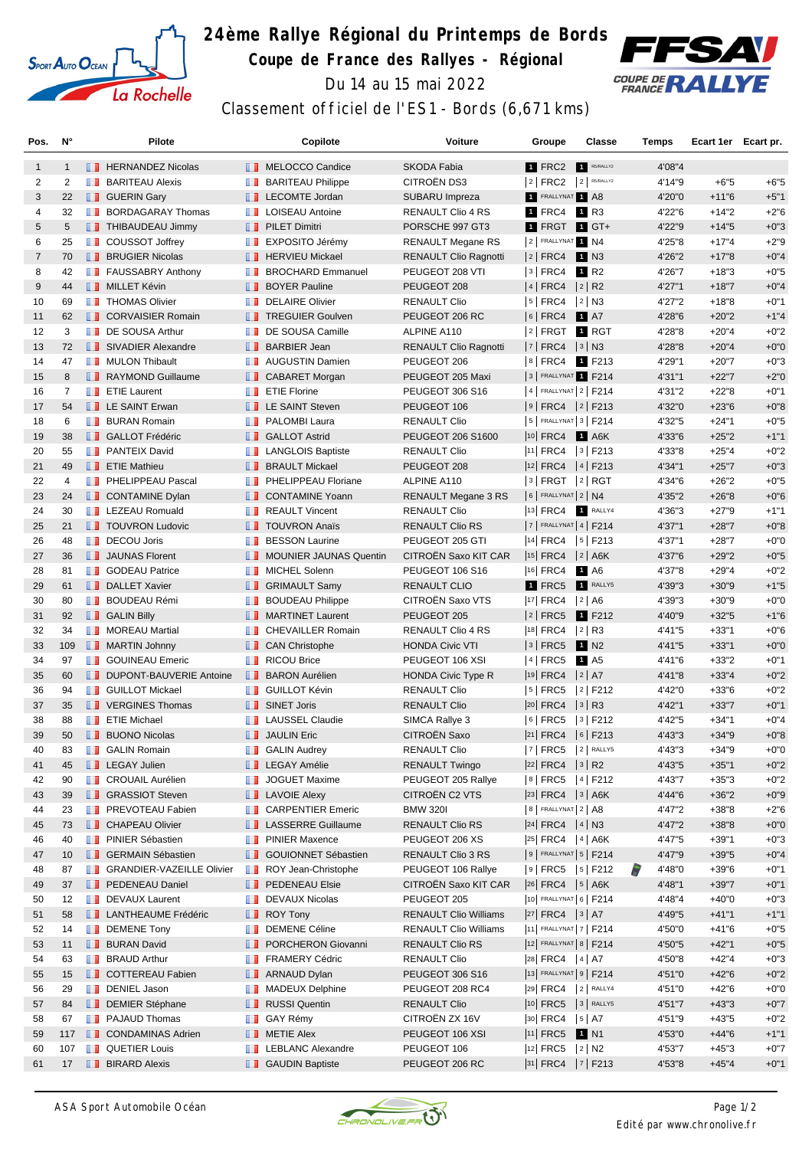

## **24ème Rallye Régional du Printemps de Bords Coupe de France des Rallyes - Régional** Du 14 au 15 mai 2022



Classement officiel de l'ES1 - Bords (6,671 kms)

| Pos.           | N°           |     | <b>Pilote</b>                    |                   | Copilote                        | Voiture                      | Groupe                  | <b>Classe</b>              | Temps       | Ecart 1er Ecart pr. |        |
|----------------|--------------|-----|----------------------------------|-------------------|---------------------------------|------------------------------|-------------------------|----------------------------|-------------|---------------------|--------|
| $\mathbf{1}$   | $\mathbf{1}$ |     | <b>FERNANDEZ Nicolas</b>         |                   | MELOCCO Candice                 | <b>SKODA Fabia</b>           | 1 FRC2                  | R5/RALLY2                  | 4'08"4      |                     |        |
| 2              | 2            | ш   | <b>BARITEAU Alexis</b>           | ш                 | <b>BARITEAU Philippe</b>        | CITROËN DS3                  | 2 FRC2                  | $2$ R5/RALLY2              | 4'14"9      | $+6"5$              | $+6"5$ |
| 3              | 22           |     | <b>B</b> GUERIN Gary             |                   | <b>LECOMTE Jordan</b>           | SUBARU Impreza               | <b>1 FRALLYNAT 1 A8</b> |                            | 4'20"0      | $+11"6$             | $+5"1$ |
| 4              | 32           | a a | <b>BORDAGARAY Thomas</b>         |                   | <b>T</b> LOISEAU Antoine        | <b>RENAULT Clio 4 RS</b>     | 1 FRC4                  | 1 R3                       | 4'22"6      | $+14"2$             | $+2"6$ |
| 5              | 5            |     | THIBAUDEAU Jimmy                 |                   | <b>PILET Dimitri</b>            | PORSCHE 997 GT3              |                         | $1$ FRGT $1$ GT+           | 4'22"9      | $+14"5$             | $+0"3$ |
| 6              | 25           |     | <b>D</b> COUSSOT Joffrey         |                   | <b>EXPOSITO Jérémy</b>          | <b>RENAULT Megane RS</b>     | 2 FRALLYNAT 1 N4        |                            | 4'25"8      | $+17"4$             | $+2"9$ |
| $\overline{7}$ | 70           |     | <b>BRUGIER Nicolas</b>           |                   | <b>F</b> HERVIEU Mickael        | <b>RENAULT Clio Ragnotti</b> | $ 2 $ FRC4              | 1 N3                       | 4'26"2      | $+17"8$             | $+0"4$ |
| 8              | 42           |     | <b>FAUSSABRY Anthony</b>         | ш                 | <b>BROCHARD Emmanuel</b>        | PEUGEOT 208 VTI              | 3   FRC4                | 1 R <sub>2</sub>           | 4'26"7      | $+18"3$             | $+0"5$ |
| 9              | 44           |     | <b>NILLET Kévin</b>              |                   | <b>BOYER Pauline</b>            | PEUGEOT 208                  | 4   FRC4                | $ 2 $ R2                   | 4'27"1      | $+18"7$             | $+0"4$ |
| 10             | 69           |     | <b>THOMAS Olivier</b>            | m                 | <b>DELAIRE Olivier</b>          | <b>RENAULT Clio</b>          | 5   FRC4   2   N3       |                            | 4'27"2      | $+18"8$             | $+0"1$ |
| 11             | 62           |     | <b>CORVAISIER Romain</b>         |                   | <b>TREGUIER Goulven</b>         | PEUGEOT 206 RC               | $ 6 $ FRC4              | <b>1</b> A7                | 4'28"6      | $+20"2$             | $+1"4$ |
| 12             | 3            |     | <b>DE SOUSA Arthur</b>           |                   | DE SOUSA Camille                | ALPINE A110                  |                         | 2 FRGT 1 RGT               | 4'28"8      | $+20"4$             | $+0"2$ |
| 13             | 72           |     | SIVADIER Alexandre               | u.                | <b>BARBIER Jean</b>             | RENAULT Clio Ragnotti        | $ 7 $ FRC4 $ 3 $ N3     |                            | 4'28"8      | $+20"4$             | $+0"0$ |
| 14             | 47           | ш   | <b>MULON Thibault</b>            | ш                 | <b>AUGUSTIN Damien</b>          | PEUGEOT 206                  | $ 8 $ FRC4              | 1 F213                     | 4'29"1      | $+20"7$             | $+0"3$ |
| 15             | 8            |     | RAYMOND Guillaume                |                   | CABARET Morgan                  | PEUGEOT 205 Maxi             |                         | 3 FRALLYNAT 1 F214         | 4'31"1      | $+22"7$             | $+2"0$ |
| 16             | 7            |     | <b>F</b> ETIE Laurent            |                   | <b>Example 7</b> ETIE Florine   | PEUGEOT 306 S16              |                         | $ 4 $ FRALLYNAT $ 2 $ F214 | 4'31"2      | $+22"8$             | $+0"1$ |
| 17             | 54           |     | <b>LE SAINT Erwan</b>            |                   | <b>EXAINT Steven</b>            | PEUGEOT 106                  |                         | $ 9 $ FRC4 $ 2 $ F213      | 4'32"0      | $+23"6$             | $+0"8$ |
| 18             | 6            |     | <b>BURAN Romain</b>              |                   | <b>F</b> PALOMBI Laura          | <b>RENAULT Clio</b>          |                         | $ 5 $ FRALLYNAT $ 3 $ F214 | 4'32"5      | $+24"1$             | $+0"5$ |
| 19             | 38           |     | <b>B</b> GALLOT Frédéric         |                   | <b>B</b> GALLOT Astrid          | PEUGEOT 206 S1600            |                         | 10 FRC4 1 A6K              | 4'33"6      | $+25"2$             | $+1"1$ |
| 20             | 55           |     | <b>FRANTEIX David</b>            | w                 | <b>LANGLOIS Baptiste</b>        | <b>RENAULT Clio</b>          |                         | $ 11 $ FRC4 $ 3 $ F213     | 4'33"8      | $+25"4$             | $+0"2$ |
| 21             | 49           |     | <b>T</b> ETIE Mathieu            |                   | <b>BRAULT Mickael</b>           | PEUGEOT 208                  |                         | $ 12 $ FRC4 $ 4 $ F213     | 4'34"1      | $+25"7$             | $+0"3$ |
| 22             | 4            | ш   | PHELIPPEAU Pascal                | ш                 | PHELIPPEAU Floriane             | ALPINE A110                  |                         | 3   FRGT  2   RGT          | 4'34"6      | $+26"2$             | $+0"5$ |
| 23             | 24           |     | CONTAMINE Dylan                  |                   | <b>T</b> CONTAMINE Yoann        | <b>RENAULT Megane 3 RS</b>   | $6$ FRALLYNAT $2$ N4    |                            | 4'35"2      | $+26"8$             | $+0"6$ |
| 24             | 30           |     | <b>EXECUED</b> LEZEAU Romuald    | w                 | <b>REAULT Vincent</b>           | <b>RENAULT Clio</b>          | 13 FRC4                 | <b>RALLY4</b>              | 4'36"3      | $+27"9$             | $+1"1$ |
| 25             | 21           |     | <b>TOUVRON Ludovic</b>           |                   | <b>TOUVRON Anaïs</b>            | <b>RENAULT Clio RS</b>       |                         | $ 7 $ FRALLYNAT 4   F214   | 4'37"1      | $+28"7$             | $+0"8$ |
| 26             | 48           |     | DECOU Joris                      | <b>TELEVISION</b> | <b>BESSON Laurine</b>           | PEUGEOT 205 GTI              |                         | $ 14 $ FRC4 $ 5 $ F213     | 4'37"1      | $+28"7$             | $+0"0$ |
| 27             | 36           |     | <b>JAUNAS Florent</b>            |                   | <b>T</b> MOUNIER JAUNAS Quentin | <b>CITROEN Saxo KIT CAR</b>  |                         | $ 15 $ FRC4 $ 2 $ A6K      | 4'37"6      | $+29"2$             | $+0"5$ |
| 28             | 81           | ш   | <b>GODEAU Patrice</b>            | w                 | <b>MICHEL Solenn</b>            | <b>PEUGEOT 106 S16</b>       | 16 FRC4                 | 1 A6                       | 4'37"8      | $+29"4$             | $+0"2$ |
| 29             | 61           |     | <b>DALLET Xavier</b>             |                   | <b>B</b> GRIMAULT Samy          | <b>RENAULT CLIO</b>          | 1 FRC5                  | RALLY5                     | 4'39"3      | $+30"9$             | $+1"5$ |
| 30             | 80           | ш   | <b>BOUDEAU Rémi</b>              | ш                 | <b>BOUDEAU Philippe</b>         | CITROËN Saxo VTS             | $ 17 $ FRC4 $ 2 $ A6    |                            | 4'39"3      | $+30"9$             | $+0"0$ |
| 31             | 92           |     | <b>BU</b> GALIN Billy            |                   | MARTINET Laurent                | PEUGEOT 205                  | $ 2 $ FRC5              | 1 F212                     | 4'40"9      | $+32"5$             | $+1"6$ |
| 32             | 34           |     | <b>NOREAU Martial</b>            |                   | <b>T</b> CHEVAILLER Romain      | RENAULT Clio 4 RS            | 18 FRC4                 | $ 2 $ R3                   | 4'41"5      | $+33"1$             | $+0"6$ |
| 33             | 109          |     | <b>NARTIN Johnny</b>             | ш                 | <b>CAN Christophe</b>           | <b>HONDA Civic VTI</b>       | $ 3 $ FRC5              | 1 N <sub>2</sub>           | 4'41"5      | $+33"1$             | $+0"0$ |
| 34             | 97           | ш   | <b>GOUINEAU Emeric</b>           | ш                 | <b>RICOU Brice</b>              | PEUGEOT 106 XSI              | $ 4 $ FRC5              | 1 A <sub>5</sub>           | 4'41"6      | $+33"2$             | $+0"1$ |
| 35             | 60           |     | <b>DUPONT-BAUVERIE Antoine</b>   |                   | <b>BARON Aurélien</b>           | <b>HONDA Civic Type R</b>    | $ 19 $ FRC4 $ 2 $ A7    |                            | 4'41"8      | $+33"4$             | $+0"2$ |
| 36             | 94           |     | <b>B</b> GUILLOT Mickael         | ш                 | <b>GUILLOT Kévin</b>            | <b>RENAULT Clio</b>          | $5$ FRC5                | $ 2 $ F212                 | 4'42"0      | $+33"6$             | $+0"2$ |
| 37             | 35           |     | <b>T</b> VERGINES Thomas         |                   | SINET Joris                     | <b>RENAULT Clio</b>          | $ 20 $ FRC4 $ 3 $ R3    |                            | 4'42"1      | $+33"7$             | $+0"1$ |
| 38             | 88           |     | <b>ETIE Michael</b>              |                   | <b>T</b> LAUSSEL Claudie        | SIMCA Rallye 3               |                         | $ 6 $ FRC5 $ 3 $ F212      | 4'42"5      | $+34"1$             | $+0"4$ |
| 39             | 50           |     | <b>BUONO Nicolas</b>             |                   | <b>JAULIN Eric</b>              | CITROËN Saxo                 |                         | 21 FRC4 6 F213             | 4'43"3      | $+34"9$             | $+0"8$ |
| 40             | 83           | ш   | <b>GALIN Romain</b>              |                   | <b>B</b> GALIN Audrey           | <b>RENAULT Clio</b>          |                         | $ 7 $ FRC5 $ 2 $ RALLY5    | 4'43"3      | +34"9               | +0"0   |
| 41             | 45           |     | <b>LEGAY Julien</b>              |                   | <b>BEGAY Amélie</b>             | <b>RENAULT Twingo</b>        | $ 22 $ FRC4 $ 3 $ R2    |                            | 4'43"5      | $+35"1$             | $+0"2$ |
| 42             | 90           |     | <b>CROUAIL Aurélien</b>          | m                 | <b>JOGUET Maxime</b>            | PEUGEOT 205 Rallye           |                         | 8 FRC5 4 F212              | 4'43"7      | $+35"3$             | $+0"2$ |
| 43             | 39           |     | <b>B</b> GRASSIOT Steven         |                   | <b>LAVOIE Alexy</b>             | CITROËN C2 VTS               |                         | $ 23 $ FRC4 $ 3 $ A6K      | 4'44"6      | $+36"2$             | $+0"9$ |
| 44             | 23           |     | <b>F</b> PREVOTEAU Fabien        |                   | <b>CARPENTIER Emeric</b>        | <b>BMW 3201</b>              | $8$ FRALLYNAT $2$ A8    |                            | 4'47"2      | $+38"8$             | $+2"6$ |
| 45             | 73           |     | <b>CHAPEAU Olivier</b>           |                   | <b>LE</b> LASSERRE Guillaume    | <b>RENAULT Clio RS</b>       | $ 24 $ FRC4 $ 4 $ N3    |                            | 4'47"2      | $+38"8$             | $+0"0$ |
| 46             | 40           |     | <b>FI</b> PINIER Sébastien       |                   | <b>F</b> PINIER Maxence         | PEUGEOT 206 XS               |                         | 25 FRC4   4   A6K          | 4'47"5      | $+39"1$             | $+0"3$ |
| 47             | 10           |     | <b>B</b> GERMAIN Sébastien       |                   | <b>B</b> GOUIONNET Sébastien    | RENAULT Clio 3 RS            |                         | $ 9 $ Frallynat $ 5 $ F214 | 4'47"9      | $+39"5$             | $+0"4$ |
| 48             | 87           | ш   | <b>GRANDIER-VAZEILLE Olivier</b> | ш                 | ROY Jean-Christophe             | PEUGEOT 106 Rallye           |                         | $ 9 $ FRC5 $ 5 $ F212      | 7<br>4'48"0 | $+39"6$             | $+0"1$ |
| 49             | 37           |     | <b>FEDENEAU Daniel</b>           |                   | <b>PEDENEAU Elsie</b>           | CITROËN Saxo KIT CAR         |                         | $ 26 $ FRC4 $ 5 $ A6K      | 4'48"1      | $+39"7$             | $+0"1$ |
| 50             | 12           |     | DEVAUX Laurent                   |                   | <b>DEVAUX Nicolas</b>           | PEUGEOT 205                  |                         | 10 FRALLYNAT 6   F214      | 4'48"4      | $+40"0$             | $+0"3$ |
| 51             | 58           |     | <b>LANTHEAUME Frédéric</b>       |                   | $\blacksquare$ ROY Tony         | <b>RENAULT Clio Williams</b> | $ 27 $ FRC4 $ 3 $ A7    |                            | 4'49"5      | +41"1               | $+1"1$ |
| 52             | 14           |     | <b>DEMENE Tony</b>               |                   | <b>DEMENE Céline</b>            | <b>RENAULT Clio Williams</b> |                         | 11 FRALLYNAT 7   F214      | 4'50"0      | +41"6               | $+0"5$ |
| 53             | 11           |     | <b>BURAN David</b>               | <b>IL 11</b>      | PORCHERON Giovanni              | <b>RENAULT Clio RS</b>       |                         | 12 FRALLYNAT 8   F214      | 4'50"5      | $+42"1$             | $+0"5$ |
| 54             | 63           | ш   | <b>BRAUD Arthur</b>              | w                 | <b>FRAMERY Cédric</b>           | <b>RENAULT Clio</b>          | $ 28 $ FRC4 $ 4 $ A7    |                            | 4'50"8      | $+42"4$             | $+0"3$ |
| 55             | 15           |     | COTTEREAU Fabien                 |                   | <b>ARNAUD Dylan</b>             | PEUGEOT 306 S16              |                         | 13 FRALLYNAT 9   F214      | 4'51"0      | $+42"6$             | $+0"2$ |
| 56             | 29           | n 1 | DENIEL Jason                     | u s               | <b>MADEUX Delphine</b>          | PEUGEOT 208 RC4              |                         | 29 FRC4 2 RALLY4           | 4'51"0      | $+42"6$             | $+0"0$ |
| 57             | 84           | ш   | <b>DEMIER Stéphane</b>           |                   | <b>RUSSI Quentin</b>            | <b>RENAULT Clio</b>          |                         | 10 FRC5   3   RALLY5       | 4'51"7      | $+43"3$             | $+0"7$ |
| 58             | 67           |     | <b>FRAJAUD Thomas</b>            |                   | <b>B</b> GAY Rémy               | CITROËN ZX 16V               | $ 30 $ FRC4 $ 5 $ A7    |                            | 4'51"9      | $+43"5$             | $+0"2$ |
| 59             | 117          |     | <b>CONDAMINAS Adrien</b>         |                   | <b>NETIE Alex</b>               | PEUGEOT 106 XSI              | $ 11 $ FRC5             | 1 N1                       | 4'53"0      | $+44"6$             | $+1"1$ |
| 60             | 107          |     | <b>QUETIER Louis</b>             |                   | <b>LEBLANC Alexandre</b>        | PEUGEOT 106                  | $ 12 $ FRC5 $ 2 $ N2    |                            | 4'53"7      | $+45"3$             | $+0"7$ |
| 61             | 17           |     | <b>BIRARD Alexis</b>             |                   | <b>B</b> GAUDIN Baptiste        | PEUGEOT 206 RC               |                         | $ 31 $ FRC4 $ 7 $ F213     | 4'53"8      | $+45"4$             | $+0"1$ |